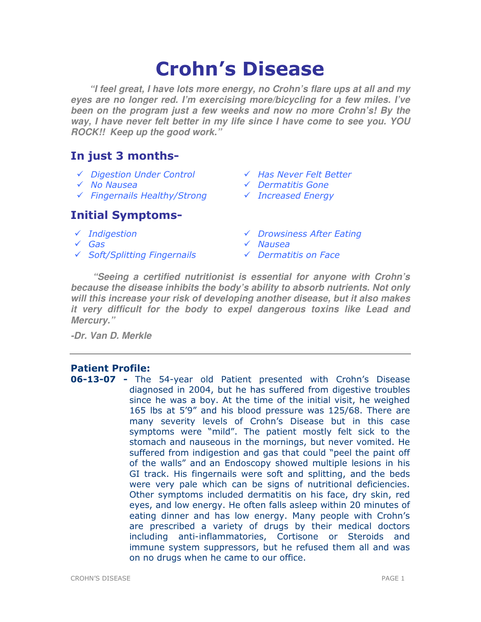# Crohn's Disease

**"I feel great, I have lots more energy, no Crohn's flare ups at all and my eyes are no longer red. I'm exercising more/bicycling for a few miles. I've been on the program just a few weeks and now no more Crohn's! By the way, I have never felt better in my life since I have come to see you. YOU ROCK!! Keep up the good work."** 

# In just 3 months-

- $\checkmark$  Digestion Under Control  $\checkmark$  Has Never Felt Better
- 
- $\checkmark$  Fingernails Healthy/Strong  $\checkmark$  Increased Energy

## Initial Symptoms-

- 
- 
- $\checkmark$  Soft/Splitting Fingernails  $\checkmark$  Dermatitis on Face
- 
- No Nausea Dermatitis Gone
	-
- ← Indigestion 
→ Indigestion<br>
→ Orowsiness After Eating<br>
→ Oroman Alberta After Eating
	- $\sqrt{N}$ Nausea
	-

**"Seeing a certified nutritionist is essential for anyone with Crohn's because the disease inhibits the body's ability to absorb nutrients. Not only will this increase your risk of developing another disease, but it also makes it very difficult for the body to expel dangerous toxins like Lead and Mercury."** 

**-Dr. Van D. Merkle** 

## Patient Profile:

**06-13-07 -** The 54-year old Patient presented with Crohn's Disease diagnosed in 2004, but he has suffered from digestive troubles since he was a boy. At the time of the initial visit, he weighed 165 lbs at 5'9" and his blood pressure was 125/68. There are many severity levels of Crohn's Disease but in this case symptoms were "mild". The patient mostly felt sick to the stomach and nauseous in the mornings, but never vomited. He suffered from indigestion and gas that could "peel the paint off of the walls" and an Endoscopy showed multiple lesions in his GI track. His fingernails were soft and splitting, and the beds were very pale which can be signs of nutritional deficiencies. Other symptoms included dermatitis on his face, dry skin, red eyes, and low energy. He often falls asleep within 20 minutes of eating dinner and has low energy. Many people with Crohn's are prescribed a variety of drugs by their medical doctors including anti-inflammatories, Cortisone or Steroids and immune system suppressors, but he refused them all and was on no drugs when he came to our office.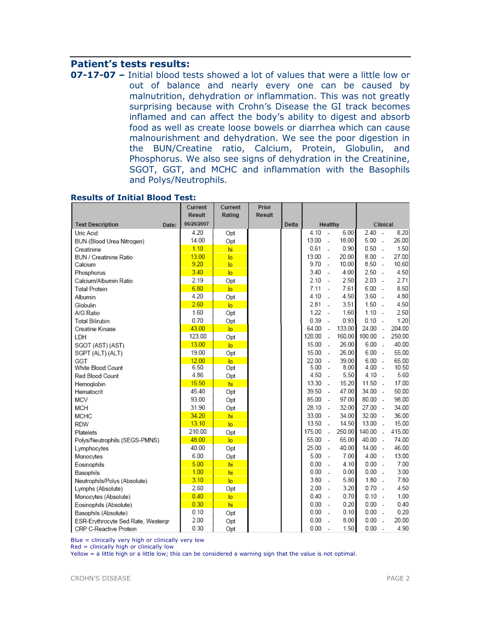## Patient's tests results:

07-17-07 – Initial blood tests showed a lot of values that were a little low or out of balance and nearly every one can be caused by malnutrition, dehydration or inflammation. This was not greatly surprising because with Crohn's Disease the GI track becomes inflamed and can affect the body's ability to digest and absorb food as well as create loose bowels or diarrhea which can cause malnourishment and dehydration. We see the poor digestion in the BUN/Creatine ratio, Calcium, Protein, Globulin, and Phosphorus. We also see signs of dehydration in the Creatinine, SGOT, GGT, and MCHC and inflammation with the Basophils and Polys/Neutrophils.

|                                    | Current<br>Result | Current<br>Rating | Prior<br>Result |       |        |                |        |        |                          |        |
|------------------------------------|-------------------|-------------------|-----------------|-------|--------|----------------|--------|--------|--------------------------|--------|
| <b>Test Description</b><br>Date:   | 06/26/2007        |                   |                 | Delta |        | Healthy        |        |        | Clinical                 |        |
| Uric Acid                          | 4.20              | Opt               |                 |       | 4.10   | $\sim$         | 6.00   | 2.40   | $\sim$                   | 8.20   |
| BUN (Blood Urea Nitrogen)          | 14.00             | Opt               |                 |       | 13.00  | $\overline{a}$ | 18.00  | 5.00   | $\overline{a}$           | 26.00  |
| Creatinine                         | 1.10              | hi                |                 |       | 0.61   | $\overline{a}$ | 0.90   | 0.50   | $\overline{a}$           | 1.50   |
| BUN / Creatinine Ratio             | 13.00             | lo                |                 |       | 13.00  | $\sim$         | 20.00  | 8.00   | $\sim$                   | 27.00  |
| Calcium                            | 9.20              | lo                |                 |       | 9.70   | $\sim$         | 10.00  | 8.50   | $\sim$                   | 10.60  |
| Phosphorus                         | 3.40              | lo.               |                 |       | 3.40   | $\sim$         | 4.00   | 2.50   | $\sim$                   | 4.50   |
| Calcium/Albumin Ratio              | 2.19              | Opt               |                 |       | 2.10   | $\sim$         | 2.50   | 2.03   | $\sim$                   | 2.71   |
| <b>Total Protein</b>               | 6.80              | $\overline{a}$    |                 |       | 7.11   | $\overline{a}$ | 7.61   | 6.00   | $\overline{a}$           | 8.50   |
| Albumin                            | 4.20              | Opt               |                 |       | 4.10   | $\overline{a}$ | 4.50   | 3.60   | $\overline{a}$           | 4.80   |
| Globulin                           | 2.60              | $\overline{a}$    |                 |       | 2.81   | $\sim$         | 3.51   | 1.50   | $\overline{a}$           | 4.50   |
| A/G Ratio                          | 1.60              | Opt               |                 |       | 1.22   | $\overline{a}$ | 1.60   | 1.10   | $\overline{\phantom{a}}$ | 2.50   |
| Total Bilirubin                    | 0.70              | Opt               |                 |       | 0.39   | $\overline{a}$ | 0.93   | 0.10   | $\overline{a}$           | 1.20   |
| Creatine Kinase                    | 43.00             | $\overline{a}$    |                 |       | 64.00  | L,             | 133.00 | 24.00  | $\sim$                   | 204.00 |
| LDH                                | 123.00            | Opt               |                 |       | 120.00 | $\sim$         | 160.00 | 100.00 | $\sim$                   | 250.00 |
| SGOT (AST) (AST)                   | 13.00             | lo.               |                 |       | 15.00  | $\overline{a}$ | 26.00  | 6.00   | $\sim$                   | 40.00  |
| SGPT (ALT) (ALT)                   | 19.00             | Opt               |                 |       | 15.00  | $\overline{a}$ | 26.00  | 6.00   | $\sim$                   | 55.00  |
| GGT                                | 12.00             | $\overline{a}$    |                 |       | 22.00  | $\overline{a}$ | 39.00  | 6.00   | $\sim$                   | 65.00  |
| White Blood Count                  | 6.50              | Opt               |                 |       | 5.00   | $\overline{a}$ | 8.00   | 4.00   | $\sim$                   | 10.50  |
| Red Blood Count                    | 4.86              | Opt               |                 |       | 4.50   | $\overline{a}$ | 5.50   | 4.10   | $\overline{a}$           | 5.60   |
| Hemoglobin                         | 15.50             | hi                |                 |       | 13.30  | $\sim$         | 15.20  | 11.50  | $\sim$                   | 17.00  |
| Hematocrit                         | 45.40             | Opt               |                 |       | 39.50  | $\sim$         | 47.00  | 34.00  | $\sim$                   | 50.00  |
| MCV                                | 93.00             | Opt               |                 |       | 85.00  | $\sim$         | 97.00  | 80.00  | $\sim$                   | 98.00  |
| <b>MCH</b>                         | 31.90             | Opt               |                 |       | 28.10  | $\sim$         | 32.00  | 27.00  | $\sim$                   | 34.00  |
| <b>MCHC</b>                        | 34.20             | hi                |                 |       | 33.00  | $\sim$         | 34.00  | 32.00  | $\sim$                   | 36.00  |
| <b>RDW</b>                         | 13.10             | $\overline{10}$   |                 |       | 13.50  | $\overline{a}$ | 14.50  | 13.00  | $\overline{a}$           | 15.00  |
| Platelets                          | 210.00            | Opt               |                 |       | 175.00 | $\overline{a}$ | 250.00 | 140.00 | $\sim$                   | 415.00 |
| Polys/Neutrophils (SEGS-PMNS)      | 48.00             | $\overline{a}$    |                 |       | 55.00  | $\sim$         | 65.00  | 40.00  | $\sim$                   | 74.00  |
| Lymphocytes                        | 40.00             | Opt               |                 |       | 25.00  | $\sim$         | 40.00  | 14.00  | $\sim$                   | 46.00  |
| Monocytes                          | 6.00              | Opt               |                 |       | 5.00   | $\overline{a}$ | 7.00   | 4.00   | $\overline{\phantom{a}}$ | 13.00  |
| Eosinophils                        | 5.00              | hi                |                 |       | 0.00   | $\sim$         | 4.10   | 0.00   | $\sim$                   | 7.00   |
| Basophils                          | 1.00              | hi                |                 |       | 0.00   | $\overline{a}$ | 0.00   | 0.00   | $\overline{a}$           | 3.00   |
| Neutrophils/Polys (Absolute)       | 3.10              | $\overline{a}$    |                 |       | 3.80   | $\overline{a}$ | 5.80   | 1.80   | $\overline{\phantom{a}}$ | 7.80   |
| Lymphs (Absolute)                  | 2.60              | Opt               |                 |       | 2.00   | $\sim$         | 3.20   | 0.70   | $\sim$                   | 4.50   |
| Monocytes (Absolute)               | 0.40              | lo.               |                 |       | 0.40   | $\sim$         | 0.70   | 0.10   | $\sim$                   | 1.00   |
| Eosinophils (Absolute)             | 0.30              | hi                |                 |       | 0.00   | $\sim$         | 0.20   | 0.00   | $\sim$                   | 0.40   |
| Basophils (Absolute)               | 0.10              | Opt               |                 |       | 0.00   | $\sim$         | 0.10   | 0.00   | $\sim$                   | 0.20   |
| ESR-Erythrocyte Sed Rate, Westergr | 2.00              | Opt               |                 |       | 0.00   | $\overline{a}$ | 8.00   | 0.00   | $\overline{a}$           | 20.00  |
| CRP C-Reactive Protein             | 0.30              | Opt               |                 |       | 0.00   | $\sim$         | 1.50   | 0.00   | $\sim$                   | 4.90   |

#### Results of Initial Blood Test:

Blue = clinically very high or clinically very low

Red = clinically high or clinically low

Yellow = a little high or a little low; this can be considered a warning sign that the value is not optimal.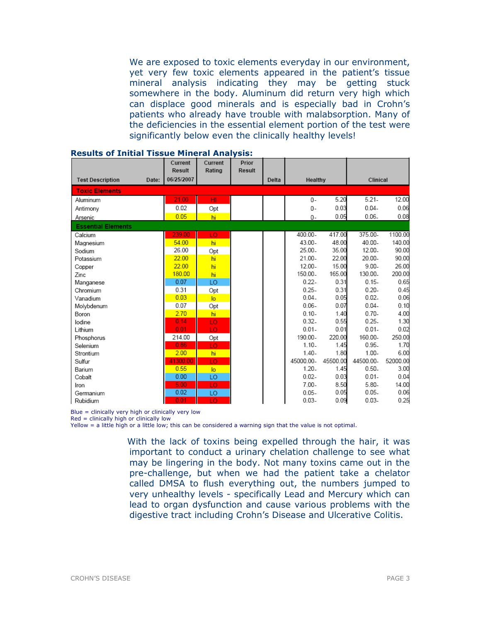We are exposed to toxic elements everyday in our environment, yet very few toxic elements appeared in the patient's tissue mineral analysis indicating they may be getting stuck somewhere in the body. Aluminum did return very high which can displace good minerals and is especially bad in Crohn's patients who already have trouble with malabsorption. Many of the deficiencies in the essential element portion of the test were significantly below even the clinically healthy levels!

|                                  | Current<br>Result | Current<br>Rating | Prior<br>Result |       |           |          |           |          |
|----------------------------------|-------------------|-------------------|-----------------|-------|-----------|----------|-----------|----------|
| <b>Test Description</b><br>Date: | 06/25/2007        |                   |                 | Delta | Healthy   |          | Clinical  |          |
| <b>Toxic Elements</b>            |                   |                   |                 |       |           |          |           |          |
| Aluminum                         | 21.00             | HI                |                 |       | $0 -$     | 5.20     | $5.21 -$  | 12.00    |
| Antimony                         | 0.02              | Opt               |                 |       | $0 -$     | 0.03     | $0.04 -$  | 0.06     |
| Arsenic                          | 0.05              | hi                |                 |       | 0-        | 0.05     | $0.06 -$  | 0.08     |
| <b>Essential Elements</b>        |                   |                   |                 |       |           |          |           |          |
| Calcium                          | 239.00            | LO                |                 |       | 400.00-   | 417.00   | 375.00-   | 1100.00  |
| Magnesium                        | 54.00             | hi                |                 |       | 43.00-    | 48.00    | 40.00-    | 140.00   |
| Sodium                           | 26.00             | Opt               |                 |       | 25.00.    | 35.00    | 12.00-    | 90.00    |
| Potassium                        | 22.00             | hi                |                 |       | $21.00 -$ | 22.00    | 20.00-    | 90.00    |
| Copper                           | 22.00             | hi                |                 |       | $12.00 -$ | 15.00    | $9.00 -$  | 26.00    |
| Zinc                             | 180.00            | hi                |                 |       | 150.00.   | 165.00   | 130.00.   | 200.00   |
| Manganese                        | 0.07              | LO                |                 |       | $0.22 -$  | 0.31     | $0.15 -$  | 0.65     |
| Chromium                         | 0.31              | Opt               |                 |       | $0.25 -$  | 0.31     | $0.20 -$  | 0.45     |
| Vanadium                         | 0.03              | $\overline{a}$    |                 |       | $0.04 -$  | 0.05     | $0.02 -$  | 0.06     |
| Molybdenum                       | 0.07              | Opt               |                 |       | $0.06 -$  | 0.07     | $0.04 -$  | 0.10     |
| Boron                            | 2.70              | hi                |                 |       | $0.10 -$  | 1.40     | $0.70 -$  | 4.00     |
| lodine                           | 0.14              | LO                |                 |       | $0.32 -$  | 0.55     | $0.25 -$  | 1.30     |
| Lithium                          | 0.01              | LO                |                 |       | $0.01 -$  | 0.01     | $0.01 -$  | 0.02     |
| Phosphorus                       | 214.00            | Opt               |                 |       | 190.00-   | 220.00   | 160.00-   | 250.00   |
| Selenium                         | 0.86              | LO                |                 |       | $1.10 -$  | 1.45     | $0.95 -$  | 1.70     |
| Strontium                        | 2.00              | hi                |                 |       | $1.40 -$  | 1.80     | $1.00 -$  | 6.00     |
| Sulfur                           | 41300.00          | LO                |                 |       | 45000.00- | 45500.00 | 44500.00- | 52000.00 |
| Barium                           | 0.55              | lo.               |                 |       | $1.20 -$  | 1.45     | $0.50 -$  | 3.00     |
| Cobalt                           | 0.00              | LO                |                 |       | $0.02 -$  | 0.03     | $0.01 -$  | 0.04     |
| Iron                             | 5.00              | LO.               |                 |       | $7.00 -$  | 8.50     | $5.80 -$  | 14.00    |
| Germanium                        | 0.02              | LO                |                 |       | $0.05 -$  | 0.05     | $0.05 -$  | 0.06     |
| Rubidium                         | 0.01              | TΟ                |                 |       | $0.03 -$  | 0.09     | $0.03 -$  | 0.25     |

#### Results of Initial Tissue Mineral Analysis:

Blue = clinically very high or clinically very low

Red = clinically high or clinically low

Yellow = a little high or a little low; this can be considered a warning sign that the value is not optimal.

With the lack of toxins being expelled through the hair, it was important to conduct a urinary chelation challenge to see what may be lingering in the body. Not many toxins came out in the pre-challenge, but when we had the patient take a chelator called DMSA to flush everything out, the numbers jumped to very unhealthy levels - specifically Lead and Mercury which can lead to organ dysfunction and cause various problems with the digestive tract including Crohn's Disease and Ulcerative Colitis.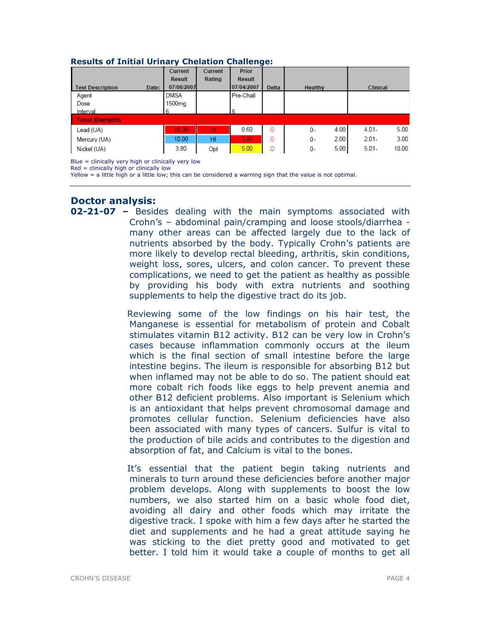|                                  | Current     | Current | Prior      |       |            |                   |
|----------------------------------|-------------|---------|------------|-------|------------|-------------------|
|                                  | Result      | Rating  | Result     |       |            |                   |
| <b>Test Description</b><br>Date: | 07/06/2007  |         | 07/04/2007 | Delta | Healthy    | Clinical          |
| Agent                            | <b>DMSA</b> |         | Pre-Chall  |       |            |                   |
| Dose                             | 1500mg      |         |            |       |            |                   |
| Interval                         |             |         | 6          |       |            |                   |
| <b>Toxic Elements</b>            |             |         |            |       |            |                   |
| Lead (UA)                        | 18.00       | HI.     | 0.60       | ⊛     | 4.00<br>0- | 5.00<br>$4.01 -$  |
| Mercury (UA)                     | 10.00       | HI      | 3.40       | ⊛     | 2.00<br>0- | 3.00<br>$2.01 -$  |
| Nickel (UA)                      | 3.80        | Opt     | 5.00       | ☺     | 5.00<br>0- | $5.01 -$<br>10.00 |

#### Results of Initial Urinary Chelation Challenge:

Blue = clinically very high or clinically very low

 $Red = clinically high or clinically low$ 

Yellow = a little high or a little low; this can be considered a warning sign that the value is not optimal.

## Doctor analysis:

**02-21-07** - Besides dealing with the main symptoms associated with Crohn's – abdominal pain/cramping and loose stools/diarrhea many other areas can be affected largely due to the lack of nutrients absorbed by the body. Typically Crohn's patients are more likely to develop rectal bleeding, arthritis, skin conditions, weight loss, sores, ulcers, and colon cancer. To prevent these complications, we need to get the patient as healthy as possible by providing his body with extra nutrients and soothing supplements to help the digestive tract do its job.

> Reviewing some of the low findings on his hair test, the Manganese is essential for metabolism of protein and Cobalt stimulates vitamin B12 activity. B12 can be very low in Crohn's cases because inflammation commonly occurs at the ileum which is the final section of small intestine before the large intestine begins. The ileum is responsible for absorbing B12 but when inflamed may not be able to do so. The patient should eat more cobalt rich foods like eggs to help prevent anemia and other B12 deficient problems. Also important is Selenium which is an antioxidant that helps prevent chromosomal damage and promotes cellular function. Selenium deficiencies have also been associated with many types of cancers. Sulfur is vital to the production of bile acids and contributes to the digestion and absorption of fat, and Calcium is vital to the bones.

> It's essential that the patient begin taking nutrients and minerals to turn around these deficiencies before another major problem develops. Along with supplements to boost the low numbers, we also started him on a basic whole food diet, avoiding all dairy and other foods which may irritate the digestive track. I spoke with him a few days after he started the diet and supplements and he had a great attitude saying he was sticking to the diet pretty good and motivated to get better. I told him it would take a couple of months to get all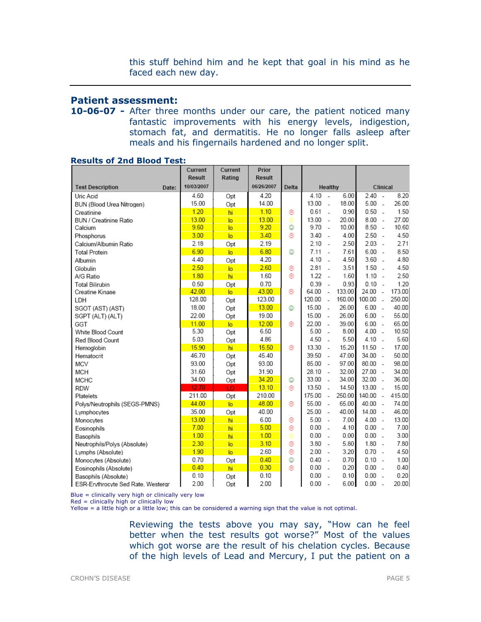this stuff behind him and he kept that goal in his mind as he faced each new day.

### Patient assessment:

10-06-07 - After three months under our care, the patient noticed many fantastic improvements with his energy levels, indigestion, stomach fat, and dermatitis. He no longer falls asleep after meals and his fingernails hardened and no longer split.

|                                    | Current<br><b>Result</b> | Current<br>Rating | Prior<br>Result |       |         |                          |        |          |                          |        |
|------------------------------------|--------------------------|-------------------|-----------------|-------|---------|--------------------------|--------|----------|--------------------------|--------|
| <b>Test Description</b><br>Date:   | 10/03/2007               |                   | 06/26/2007      | Delta | Healthy |                          |        |          | Clinical                 |        |
| Uric Acid                          | 4.60                     | Opt               | 4.20            |       | 4.10    | $\overline{a}$           | 6.00   | 2.40     | $\overline{\phantom{a}}$ | 8.20   |
| BUN (Blood Urea Nitrogen)          | 15.00                    | Opt               | 14.00           |       | 13.00   | $\overline{a}$           | 18.00  | 5.00     | $\sim$                   | 26.00  |
| Creatinine                         | 1.20                     | hi                | 1.10            | ම     | 0.61    | L.                       | 0.90   | 0.50     | $\sim$                   | 1.50   |
| BUN / Creatinine Ratio             | 13.00                    | lo.               | 13.00           | ⊜     | 13.00   | $\overline{a}$           | 20.00  | 8.00     | $\sim$                   | 27.00  |
| Calcium                            | 9.60                     | lo                | 9.20            | ☺     | 9.70    | $\overline{a}$           | 10.00  | 8.50     | $\sim$                   | 10.60  |
| Phosphorus                         | 3.00                     | $\overline{a}$    | 3.40            | ⊛     | 3.40    | $\overline{\phantom{a}}$ | 4.00   | 2.50     | $\sim$                   | 4.50   |
| Calcium/Albumin Ratio              | 2.18                     | Opt               | 2.19            |       | 2.10    | $\overline{\phantom{a}}$ | 2.50   | 2.03     | $\sim$                   | 2.71   |
| <b>Total Protein</b>               | 6.90                     | $\overline{a}$    | 6.80            | ☺     | 7.11    | $\sim$                   | 7.61   | 6.00     | $\sim$                   | 8.50   |
| Albumin                            | 4.40                     | Opt               | 4.20            |       | 4.10    | $\overline{a}$           | 4.50   | 3.60     | $\sim$                   | 4.80   |
| Globulin                           | 2.50                     | lo                | 2.60            | ⊛     | 2.81    | $\overline{a}$           | 3.51   | 1.50     | $\sim$                   | 4.50   |
| A/G Ratio                          | 1.80                     | hi                | 1.60            | ⊛     | 1.22    | $\overline{\phantom{a}}$ | 1.60   | $1.10 -$ |                          | 2.50   |
| <b>Total Bilirubin</b>             | 0.50                     | Opt               | 0.70            |       | 0.39    | ÷.                       | 0.93   | 0.10     | $\overline{a}$           | 1.20   |
| Creatine Kinase                    | 42.00                    | $\overline{a}$    | 43.00           | ⊛     | 64.00   | ÷,                       | 133.00 | 24.00    | $\sim$                   | 173.00 |
| LDH                                | 128.00                   | Opt               | 123.00          |       | 120.00  | $\overline{a}$           | 160.00 | 100.00   | $\overline{a}$           | 250.00 |
| SGOT (AST) (AST)                   | 18.00                    | Opt               | 13.00           | O     | 15.00   | $\overline{a}$           | 26.00  | 6.00     | $\overline{a}$           | 40.00  |
| SGPT (ALT) (ALT)                   | 22.00                    | Opt               | 19.00           |       | 15.00   | $\overline{a}$           | 26.00  | 6.00     | $\sim$                   | 55.00  |
| GGT                                | 11.00                    | $\overline{a}$    | 12.00           | ⊛     | 22.00   | $\overline{a}$           | 39.00  | 6.00     | $\overline{\phantom{a}}$ | 65.00  |
| White Blood Count                  | 5.30                     | Opt               | 6.50            |       | 5.00    | $\sim$                   | 8.00   | 4.00     | $\overline{\phantom{a}}$ | 10.50  |
| Red Blood Count                    | 5.03                     | Opt               | 4.86            |       | 4.50    | $\overline{a}$           | 5.50   | 4.10     | $\sim$                   | 5.60   |
| Hemoglobin                         | 15.90                    | hi                | 15.50           | ⊛     | 13.30   | $\overline{\phantom{a}}$ | 15.20  | 11.50    | $\sim$                   | 17.00  |
| Hematocrit                         | 46.70                    | Opt               | 45.40           |       | 39.50   | ÷,                       | 47.00  | 34.00    | $\sim$                   | 50.00  |
| MCV                                | 93.00                    | Opt               | 93.00           |       | 85.00   | $\sim$                   | 97.00  | 80.00    | $\overline{a}$           | 98.00  |
| <b>MCH</b>                         | 31.60                    | Opt               | 31.90           |       | 28.10   | $\sim$                   | 32.00  | 27.00    | $\overline{\phantom{a}}$ | 34.00  |
| <b>MCHC</b>                        | 34.00                    | Opt               | 34.20           | ☺     | 33.00   | $\overline{a}$           | 34.00  | 32.00    | $\overline{a}$           | 36.00  |
| <b>RDW</b>                         | 12.70                    | ТŌ                | 13.10           | ⊛     | 13.50   | $\overline{a}$           | 14.50  | 13.00    | $\overline{a}$           | 15.00  |
| Platelets                          | 211.00                   | Opt               | 210.00          |       | 175.00  | $\overline{a}$           | 250.00 | 140.00   | $\sim$                   | 415.00 |
| Polys/Neutrophils (SEGS-PMNS)      | 44.00                    | $\overline{a}$    | 48.00           | ⊛     | 55.00   | $\overline{a}$           | 65.00  | 40.00    | $\sim$                   | 74.00  |
| Lymphocytes                        | 35.00                    | Opt               | 40.00           |       | 25.00   | ÷,                       | 40.00  | 14.00    | $\sim$                   | 46.00  |
| Monocytes                          | 13.00                    | hi                | 6.00            | ම     | 5.00    | $\sim$                   | 7.00   | 4.00     | $\overline{\phantom{a}}$ | 13.00  |
| Eosinophils                        | 7.00                     | hi                | 5.00            | ⊛     | 0.00    | $\overline{a}$           | 4.10   | 0.00     | $\overline{a}$           | 7.00   |
| Basophils                          | 1.00                     | hi                | 1.00            | Θ     | 0.00    | ÷.                       | 0.00   | 0.00     | $\overline{a}$           | 3.00   |
| Neutrophils/Polys (Absolute)       | 2.30                     | $\overline{a}$    | 3.10            | ⊛     | 3.80    | $\overline{a}$           | 5.80   | 1.80     | $\overline{\phantom{a}}$ | 7.80   |
| Lymphs (Absolute)                  | 1.90                     | $\overline{a}$    | 2.60            | ⊛     | 2.00    | ÷,                       | 3.20   | $0.70 -$ |                          | 4.50   |
| Monocytes (Absolute)               | 0.70                     | Opt               | 0.40            | ٥     | 0.40    | $\overline{a}$           | 0.70   | $0.10 -$ |                          | 1.00   |
| Eosinophils (Absolute)             | 0.40                     | hi                | 0.30            | ⊛     | 0.00    |                          | 0.20   | 0.00     | $\overline{\phantom{a}}$ | 0.40   |
| Basophils (Absolute)               | 0.10                     | Opt               | 0.10            |       | 0.00    | $\overline{a}$           | 0.10   | 0.00     | $\overline{a}$           | 0.20   |
| ESR-Erythrocyte Sed Rate, Westergr | 2.00                     | Opt               | 2.00            |       | 0.00    | $\overline{a}$           | 6.00   | 0.00     | $\overline{\phantom{a}}$ | 20.00  |

#### Results of 2nd Blood Test:

Blue = clinically very high or clinically very low

Red = clinically high or clinically low

Yellow = a little high or a little low; this can be considered a warning sign that the value is not optimal.

Reviewing the tests above you may say, "How can he feel better when the test results got worse?" Most of the values which got worse are the result of his chelation cycles. Because of the high levels of Lead and Mercury, I put the patient on a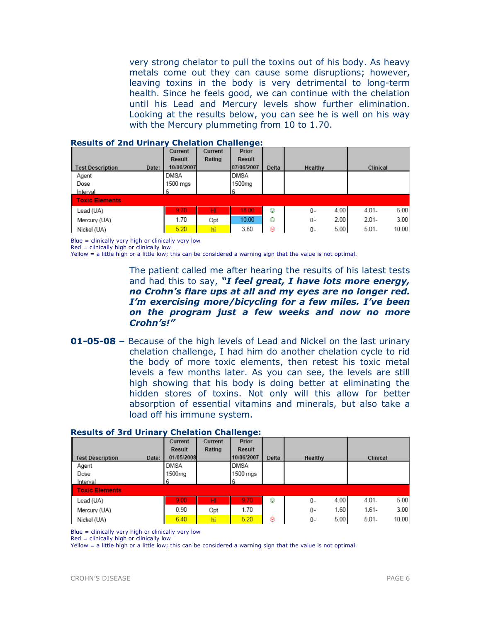very strong chelator to pull the toxins out of his body. As heavy metals come out they can cause some disruptions; however, leaving toxins in the body is very detrimental to long-term health. Since he feels good, we can continue with the chelation until his Lead and Mercury levels show further elimination. Looking at the results below, you can see he is well on his way with the Mercury plummeting from 10 to 1.70.

|                                  | Current     | Current | Prior       |       |            |          |       |
|----------------------------------|-------------|---------|-------------|-------|------------|----------|-------|
|                                  | Result      | Rating  | Result      |       |            |          |       |
| <b>Test Description</b><br>Date: | 10/06/2007  |         | 07/06/2007  | Delta | Healthy    | Clinical |       |
| Agent                            | <b>DMSA</b> |         | <b>DMSA</b> |       |            |          |       |
| Dose                             | 1500 mgs    |         | 1500mg      |       |            |          |       |
| Interval                         |             |         |             |       |            |          |       |
| <b>Toxic Elements</b>            |             |         |             |       |            |          |       |
| Lead (UA)                        | 9.70        | HI      | 18.00       | ٨     | 4.00<br>0- | $4.01 -$ | 5.00  |
| Mercury (UA)                     | 1.70        | Opt     | 10.00       | ٧     | 2.00<br>0- | $2.01 -$ | 3.00  |
| Nickel (UA)                      | 5.20        | hi      | 3.80        | ම     | 5.00<br>0- | $5.01 -$ | 10.00 |

#### Results of 2nd Urinary Chelation Challenge:

Blue = clinically very high or clinically very low

 $Red =$  clinically high or clinically low

Yellow = a little high or a little low; this can be considered a warning sign that the value is not optimal.

The patient called me after hearing the results of his latest tests and had this to say, "I feel great, I have lots more energy, no Crohn's flare ups at all and my eyes are no longer red. I'm exercising more/bicycling for a few miles. I've been on the program just a few weeks and now no more Crohn's!"

**01-05-08 –** Because of the high levels of Lead and Nickel on the last urinary chelation challenge, I had him do another chelation cycle to rid the body of more toxic elements, then retest his toxic metal levels a few months later. As you can see, the levels are still high showing that his body is doing better at eliminating the hidden stores of toxins. Not only will this allow for better absorption of essential vitamins and minerals, but also take a load off his immune system.

|                                  | Current       | Current | ----<br>Prior |       |            |          |       |
|----------------------------------|---------------|---------|---------------|-------|------------|----------|-------|
|                                  | <b>Result</b> | Rating  | Result        |       |            |          |       |
| Date:<br><b>Test Description</b> | 01/05/2008    |         | 10/06/2007    | Delta | Healthy    | Clinical |       |
| Agent                            | <b>DMSA</b>   |         | <b>DMSA</b>   |       |            |          |       |
| Dose                             | 1500ma        |         | 1500 mgs      |       |            |          |       |
| Interval                         | 6             |         | 6             |       |            |          |       |
| <b>Toxic Elements</b>            |               |         |               |       |            |          |       |
| Lead (UA)                        | 9.00          | HI      | 9.70          | ☺     | 4.00<br>0- | $4.01 -$ | 5.00  |
| Mercury (UA)                     | 0.90          | Opt     | 1.70          |       | 1.60<br>0- | $1.61 -$ | 3.00  |
| Nickel (UA)                      | 6.40          | hi      | 5.20          | ⊛     | 5.00<br>0- | $5.01 -$ | 10.00 |

### Results of 3rd Urinary Chelation Challenge:

Blue = clinically very high or clinically very low

Red = clinically high or clinically low

Yellow = a little high or a little low; this can be considered a warning sign that the value is not optimal.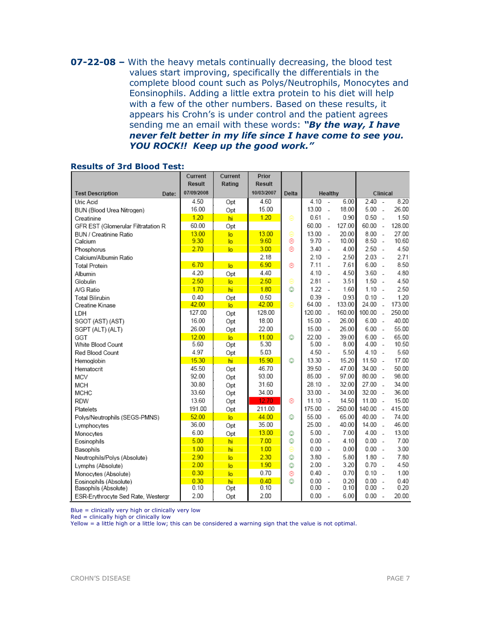07-22-08 – With the heavy metals continually decreasing, the blood test values start improving, specifically the differentials in the complete blood count such as Polys/Neutrophils, Monocytes and Eonsinophils. Adding a little extra protein to his diet will help with a few of the other numbers. Based on these results, it appears his Crohn's is under control and the patient agrees sending me an email with these words: "By the way, I have never felt better in my life since I have come to see you. YOU ROCK!! Keep up the good work."

|                                    | Current<br><b>Result</b> | Current<br>Rating | Prior<br><b>Result</b> |       |         |                          |        |           |                |        |
|------------------------------------|--------------------------|-------------------|------------------------|-------|---------|--------------------------|--------|-----------|----------------|--------|
| <b>Test Description</b><br>Date:   | 07/09/2008               |                   | 10/03/2007             | Delta | Healthy |                          |        |           | Clinical       |        |
| Uric Acid                          | 4.50                     | Opt               | 4.60                   |       | 4.10    | $\sim$                   | 6.00   | 2.40      | $\sim$         | 8.20   |
| BUN (Blood Urea Nitrogen)          | 16.00                    | Opt               | 15.00                  |       | 13.00   | $\overline{a}$           | 18.00  | 5.00      | $\overline{a}$ | 26.00  |
| Creatinine                         | 1.20                     | hi                | 1.20                   | Θ     | 0.61    | $\overline{a}$           | 0.90   | 0.50      | $\sim$         | 1.50   |
| GFR EST (Glomerular Filtratation R | 60.00                    | Opt               |                        |       | 60.00   | $\sim$                   | 127.00 | 60.00     | $\sim$         | 128.00 |
| BUN / Creatinine Ratio             | 13.00                    | lo                | 13.00                  | ⊜     | 13.00   | $\overline{a}$           | 20.00  | 8.00      | $\overline{a}$ | 27.00  |
| Calcium                            | 9.30                     | lo                | 9.60                   | ⊛     | 9.70    | ÷.                       | 10.00  | 8.50      | $\sim$         | 10.60  |
| Phosphorus                         | 2.70                     | $\overline{a}$    | 3.00                   | ⊛     | 3.40    | $\sim$                   | 4.00   | 2.50      | $\sim$         | 4.50   |
| Calcium/Albumin Ratio              |                          |                   | 2.18                   |       | 2.10    | $\sim$                   | 2.50   | $2.03 -$  |                | 2.71   |
| <b>Total Protein</b>               | 6.70                     | $\overline{a}$    | 6.90                   | ⊛     | 7.11    | $\sim$                   | 7.61   | 6.00      | $\overline{a}$ | 8.50   |
| Albumin                            | 4.20                     | Opt               | 4.40                   |       | 4.10    | $\overline{\phantom{a}}$ | 4.50   | 3.60      | $\sim$         | 4.80   |
| Globulin                           | 2.50                     | lo                | 2.50                   | ⊜     | 2.81    | $\sim$                   | 3.51   | 1.50      | $\sim$         | 4.50   |
| A/G Ratio                          | 1.70                     | hi                | 1.80                   | ☺     | 1.22    | $\overline{\phantom{a}}$ | 1.60   | $1.10 -$  |                | 2.50   |
| <b>Total Bilirubin</b>             | 0.40                     | Opt               | 0.50                   |       | 0.39    | $\overline{a}$           | 0.93   | 0.10      | $\sim$         | 1.20   |
| Creatine Kinase                    | 42.00                    | $\overline{a}$    | 42.00                  | ⊜     | 64.00   | $\overline{a}$           | 133.00 | 24.00     | $\overline{a}$ | 173.00 |
| LDH                                | 127.00                   | Opt               | 128.00                 |       | 120.00  | $\overline{a}$           | 160.00 | 100.00    | $\overline{a}$ | 250.00 |
| SGOT (AST) (AST)                   | 16.00                    | Opt               | 18.00                  |       | 15.00   | $\sim$                   | 26.00  | 6.00      | $\sim$         | 40.00  |
| SGPT (ALT) (ALT)                   | 26.00                    | Opt               | 22.00                  |       | 15.00   | $\overline{a}$           | 26.00  | 6.00      | $\sim$         | 55.00  |
| GGT                                | 12.00                    | $\overline{a}$    | 11.00                  | ☺     | 22.00   | $\overline{a}$           | 39.00  | $6.00 -$  |                | 65.00  |
| White Blood Count                  | 5.60                     | Opt               | 5.30                   |       | 5.00    | $\sim$                   | 8.00   | $4.00 -$  |                | 10.50  |
| Red Blood Count                    | 4.97                     | Opt               | 5.03                   |       | 4.50    | $\sim$                   | 5.50   | $4.10 -$  |                | 5.60   |
| Hemoglobin                         | 15.30                    | hi                | 15.90                  | ☺     | 13.30   | $\sim$                   | 15.20  | $11.50 -$ |                | 17.00  |
| Hematocrit                         | 45.50                    | Opt               | 46.70                  |       | 39.50   | $\overline{a}$           | 47.00  | 34.00     | $\sim$         | 50.00  |
| MCV                                | 92.00                    | Opt               | 93.00                  |       | 85.00   | $\overline{a}$           | 97.00  | 80.00     | $\sim$         | 98.00  |
| <b>MCH</b>                         | 30.80                    | Opt               | 31.60                  |       | 28.10   | $\overline{a}$           | 32.00  | 27.00     | $\sim$         | 34.00  |
| <b>MCHC</b>                        | 33.60                    | Opt               | 34.00                  |       | 33.00   | $\sim$                   | 34.00  | $32.00 -$ |                | 36.00  |
| <b>RDW</b>                         | 13.60                    | Opt               | 12.70                  | ⊛     | 11.10   | $\overline{a}$           | 14.50  | $11.00 -$ |                | 15.00  |
| Platelets                          | 191.00                   | Opt               | 211.00                 |       | 175.00  | $\sim$                   | 250.00 | 140.00    | $\overline{a}$ | 415.00 |
| Polys/Neutrophils (SEGS-PMNS)      | 52.00                    | $\overline{a}$    | 44.00                  | ☺     | 55.00   | $\overline{a}$           | 65.00  | 40.00     | $\sim$         | 74.00  |
| Lymphocytes                        | 36.00                    | Opt               | 35.00                  |       | 25.00   | $\overline{\phantom{a}}$ | 40.00  | 14.00     | $\overline{a}$ | 46.00  |
| Monocytes                          | 6.00                     | Opt               | 13.00                  | ☺     | 5.00    | $\overline{a}$           | 7.00   | 4.00      | $\overline{a}$ | 13.00  |
| Eosinophils                        | 5.00                     | hi                | 7.00                   | ☺     | 0.00    | $\overline{\phantom{a}}$ | 4.10   | $0.00 -$  |                | 7.00   |
| Basophils                          | 1.00                     | hi                | 1.00                   | ⊜     | 0.00    | $\sim$                   | 0.00   | $0.00 -$  |                | 3.00   |
| Neutrophils/Polys (Absolute)       | 2.90                     | lo                | 2.30                   | ٨     | 3.80    | $\sim$                   | 5.80   | $1.80 -$  |                | 7.80   |
| Lymphs (Absolute)                  | 2.00                     | $\overline{a}$    | 1.90                   | ٧     | 2.00    | $\overline{a}$           | 3.20   | 0.70      | $\sim$         | 4.50   |
| Monocytes (Absolute)               | 0.30                     | $\overline{a}$    | 0.70                   | 0     | 0.40    | $\sim$                   | 0.70   | 0.10      | $\sim$         | 1.00   |
| Eosinophils (Absolute)             | 0.30                     | hi                | 0.40                   | ☺     | 0.00    | $\overline{a}$           | 0.20   | 0.00      | $\overline{a}$ | 0.40   |
| Basophils (Absolute)               | 0.10                     | Opt               | 0.10                   |       | 0.00    | $\sim$                   | 0.10   | 0.00      | $\sim$         | 0.20   |
| ESR-Erythrocyte Sed Rate, Westergr | 2.00                     | Opt               | 2.00                   |       | 0.00    | $\overline{\phantom{a}}$ | 6.00   | 0.00      | $\sim$         | 20.00  |

#### Results of 3rd Blood Test:

Blue = clinically very high or clinically very low

Red = clinically high or clinically low

Yellow = a little high or a little low; this can be considered a warning sign that the value is not optimal.